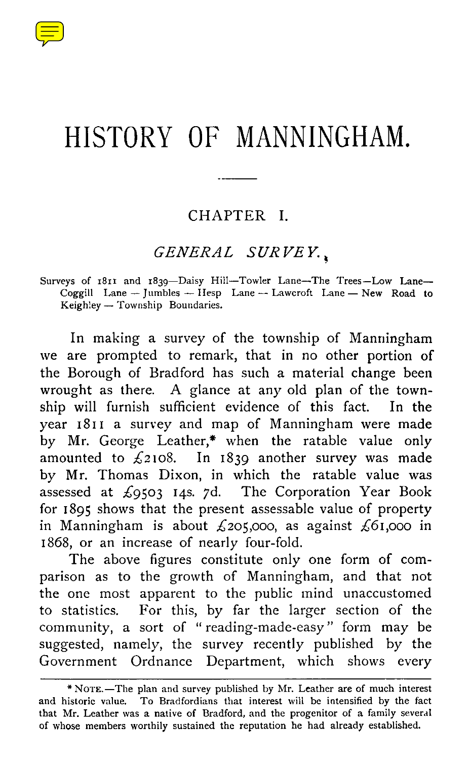

# HISTORY OF MANNINGHAM.

#### CHAPTER I.

#### *GENERAL SURVEY.*

Surveys of 1811 and 1839—Daisy Hill—Towler Lane—The Trees—Low Lane— Coggill Lane — Jumbles — Hesp Lane -- Lawcroft Lane — New Road to Keighley — Township Boundaries.

In making a survey of the township of Manningham we are prompted to remark, that in no other portion of the Borough of Bradford has such a material change been wrought as there. A glance at any old plan of the township will furnish sufficient evidence of this fact. In the year 1811 a survey and map of Manningham were made by Mr. George Leather,\* when the ratable value only amounted to  $\overline{2}$ 108. In 1839 another survey was made by Mr. Thomas Dixon, in which the ratable value was assessed at  $\text{\emph{$6503$} I4s. 7d.}$  The Corporation Year Book for 1895 shows that the present assessable value of property in Manningham is about  $\mathcal{L}$ 205,000, as against  $\mathcal{L}$ 61,000 in 1868, or an increase of nearly four-fold.

The above figures constitute only one form of comparison as to the growth of Manningham, and that not the one most apparent to the public mind unaccustomed<br>to statistics. For this, by far the larger section of the For this, by far the larger section of the community, a sort of " reading-made-easy" form may be suggested, namely, the survey recently published by the Government Ordnance Department, which shows every

<sup>\*</sup>NoTE.—The plan and survey published by Mr. Leather are of much interest and historic value. To Bradfordians that interest will be intensified by the fact that Mr. Leather was a native of Bradford, and the progenitor of a family several of whose members worthily sustained the reputation he had already established.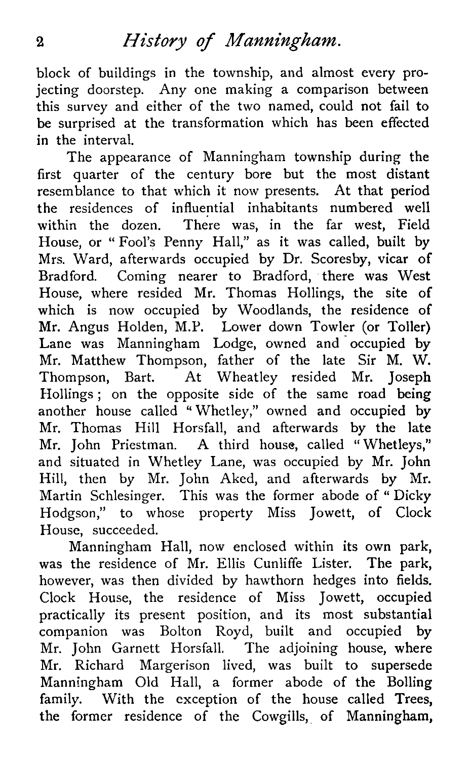### <sup>2</sup> *History of Manningham.*

block of buildings in the township, and almost every projecting doorstep. Any one making a comparison between this survey and either of the two named, could not fail to be surprised at the transformation which has been effected in the interval.

The appearance of Manningham township during the first quarter of the century bore but the most distant resemblance to that which it now presents. At that period the residences of influential inhabitants numbered well within the dozen. There was, in the far west, Field House, or " Fool's Penny Hall," as it was called, built by Mrs. Ward, afterwards occupied by Dr. Scoresby, vicar of Bradford. Coming nearer to Bradford, there was West House, where resided Mr. Thomas Hollings, the site of which is now occupied by Woodlands, the residence of Mr. Angus Holden, M.P. Lower down Towler (or Toiler) Lane was Manningham Lodge, owned and occupied by Mr. Matthew Thompson, father of the late Sir M. W. Thompson, Bart. At Wheatley resided Mr. Joseph Hollings ; on the opposite side of the same road being another house called " Whetley," owned and occupied by Mr. Thomas Hill Horsfall, and afterwards by the late Mr. John Priestman. A third house, called " Whetleys," and situated in Whetley Lane, was occupied by Mr. John Hill, then by Mr. John Aked, and afterwards by Mr. Martin Schlesinger. This was the former abode of " Dicky Hodgson," to whose property Miss Jowett, of Clock House, succeeded.

Manningham Hall, now enclosed within its own park, was the residence of Mr. Ellis Cunliffe Lister. The park, however, was then divided by hawthorn hedges into fields. Clock House, the residence of Miss Jowett, occupied practically its present position, and its most substantial companion was Bolton Royd, built and occupied by Mr. John Garnett Horsfall. The adjoining house, where Mr. Richard Margerison lived, was built to supersede Manningham Old Hall, a former abode of the Bolling family. With the exception of the house called Trees, the former residence of the Cowgills, of Manningham,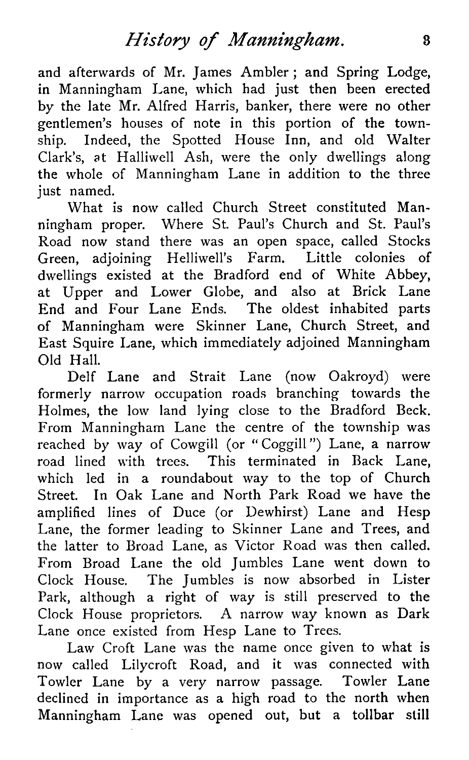and afterwards of Mr. James Ambler ; and Spring Lodge, in Manningham Lane, which had just then been erected by the late Mr. Alfred Harris, banker, there were no other gentlemen's houses of note in this portion of the township. Indeed, the Spotted House Inn, and old Walter Clark's, at Halliwell Ash, were the only dwellings along the whole of Manningham Lane in addition to the three just named.

What is now called Church Street constituted Manningham proper. Where St. Paul's Church and St. Paul's Road now stand there was an open space, called Stocks Green, adjoining Helliwell's Farm. Little colonies of dwellings existed at the Bradford end of White Abbey, at Upper and Lower Globe, and also at Brick Lane End and Four Lane Ends. The oldest inhabited parts of Manningham were Skinner Lane, Church Street, and East Squire Lane, which immediately adjoined Manningham Old Hall.

Delf Lane and Strait Lane (now Oakroyd) were formerly narrow occupation roads branching towards the Holmes, the low land lying close to the Bradford Beck. From Manningham Lane the centre of the township was reached by way of Cowgill (or " Coggill ") Lane, a narrow road lined with trees. This terminated in Back Lane, which led in a roundabout way to the top of Church Street. In Oak Lane and North Park Road we have the amplified lines of Duce (or Dewhirst) Lane and Hesp Lane, the former leading to Skinner Lane and Trees, and the latter to Broad Lane, as Victor Road was then called. From Broad Lane the old Jumbles Lane went down to Clock House. The Jumbles is now absorbed in Lister Park, although a right of way is still preserved to the Clock House proprietors. A narrow way known as Dark Lane once existed from Hesp Lane to Trees.

Law Croft Lane was the name once given to what is now called Lilycroft Road, and it was connected with Towler Lane by a very narrow passage. Towler Lane declined in importance as a high road to the north when Manningham Lane was opened out, but a tollbar still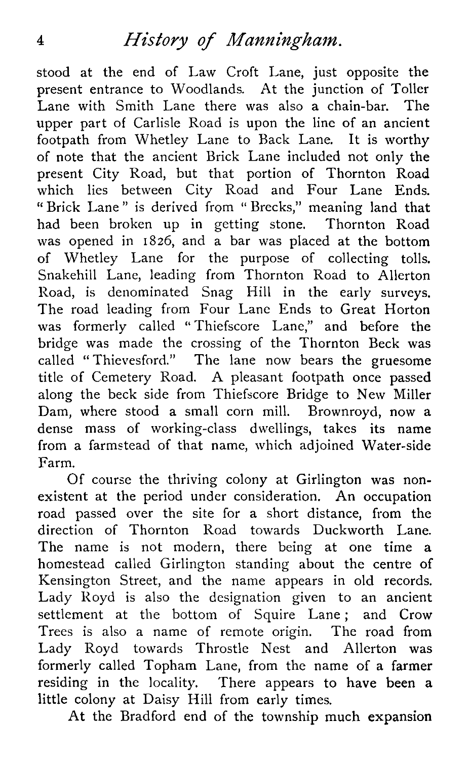## <sup>4</sup> *History of Manningham.*

stood at the end of Law Croft Lane, just opposite the present entrance to Woodlands. At the junction of Toller Lane with Smith Lane there was also a chain-bar. The upper part of Carlisle Road is upon the line of an ancient footpath from Whetley Lane to Back Lane. It is worthy of note that the ancient Brick Lane included not only the present City Road, but that portion of Thornton Road which lies between City Road and Four Lane Ends. " Brick Lane " is derived from " Brecks," meaning land that had been broken up in getting stone. Thornton Road was opened in 1826, and a bar was placed at the bottom of Whetley Lane for the purpose of collecting tolls. Snakehill Lane, leading from Thornton Road to Allerton Road, is denominated Snag Hill in the early surveys. The road leading from Four Lane Ends to Great Horton was formerly called "Thiefscore Lane," and before the bridge was made the crossing of the Thornton Beck was called " Thievesford." The lane now bears the gruesome title of Cemetery Road. A pleasant footpath once passed along the beck side from Thiefscore Bridge to New Miller Dam, where stood a small corn mill. Brownroyd, now a dense mass of working-class dwellings, takes its name from a farmstead of that name, which adjoined Water-side Farm.

Of course the thriving colony at Girlington was nonexistent at the period under consideration. An occupation road passed over the site for a short distance, from the direction of Thornton Road towards Duckworth Lane. The name is not modern, there being at one time a homestead called Girlington standing about the centre of Kensington Street, and the name appears in old records. Lady Royd is also the designation given to an ancient settlement at the bottom of Squire Lane; and Crow Trees is also a name of remote origin. The road from Lady Royd towards Throstle Nest and Allerton was formerly called Topham Lane, from the name of a farmer residing in the locality. There appears to have been a little colony at Daisy Hill from early times.

At the Bradford end of the township much expansion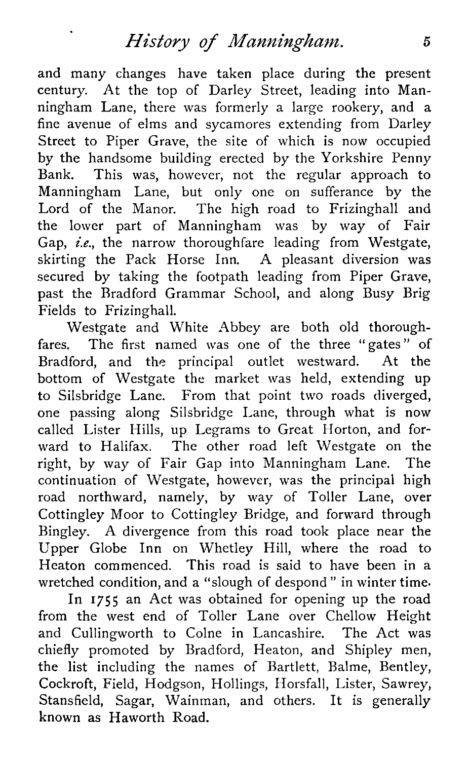### *History of Manningham.* <sup>5</sup>

and many changes have taken place during the present century. At the top of Darley Street, leading into Manningham Lane, there was formerly a large rookery, and a fine avenue of elms and sycamores extending from Darley Street to Piper Grave, the site of which is now occupied by the handsome building erected by the Yorkshire Penny Bank. This was, however, not the regular approach to Manningham Lane, but only one on sufferance by the Lord of the Manor. The high road to Frizinghall and the lower part of Manningham was by way of Fair Gap, *i.e.*, the narrow thoroughfare leading from Westgate, skirting the Pack Horse Inn. A pleasant diversion was secured by taking the footpath leading from Piper Grave, past the Bradford Grammar School, and along Busy Brig Fields to Frizinghall.

Westgate and White Abbey are both old thoroughfares. The first named was one of the three "gates" of Bradford, and the principal outlet westward. At the bottom of Westgate the market was held, extending up to Silsbridge Lane. From that point two roads diverged, one passing along Silsbridge Lane, through what is now called Lister Hills, up Legrams to Great Horton, and forward to Halifax. The other road left Westgate on the right, by way of Fair Gap into Manningham Lane. The continuation of Westgate, however, was the principal high road northward, namely, by way of Toiler Lane, over Cottingley Moor to Cottingley Bridge, and forward through Bingley. A divergence from this road took place near the Upper Globe Inn on Whetley Hill, where the road to Heaton commenced. This road is said to have been in a wretched condition, and a "slough of despond " in winter time.

In 1755 an Act was obtained for opening up the road from the west end of Toiler Lane over Chellow Height and Cullingworth to Colne in Lancashire. The Act was chiefly promoted by Bradford, Heaton, and Shipley men, the list including the names of Bartlett, Balme, Bentley, Cockroft, Field, Hodgson, Hollings, Horsfall, Lister, Sawrey, Stansfield, Sagar, Wainman, and others. It is generally known as Haworth Road.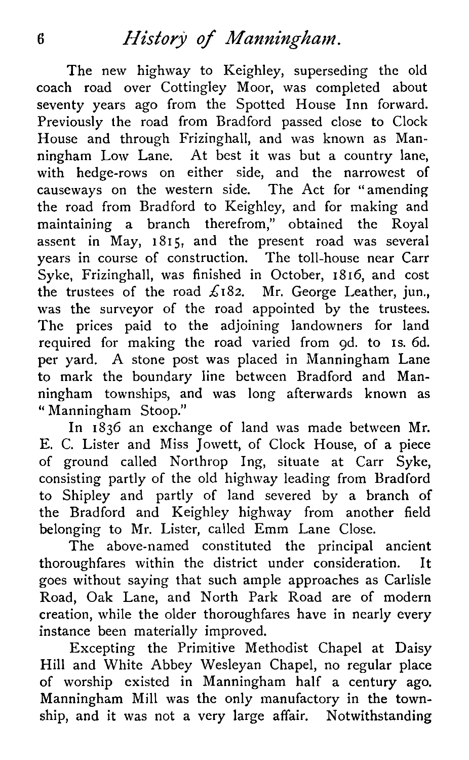The new highway to Keighley, superseding the old coach road over Cottingley Moor, was completed about seventy years ago from the Spotted House Inn forward. Previously the road from Bradford passed close to Clock House and through Frizinghall, and was known as Manningham Low Lane. At best it was but a country lane, with hedge-rows on either side, and the narrowest of causeways on the western side. The Act for " amending the road from Bradford to Keighley, and for making and maintaining a branch therefrom," obtained the Royal assent in May, 1815, and the present road was several years in course of construction. The toll-house near Carr Syke, Frizinghall, was finished in October, 1816, and cost the trustees of the road  $\pounds$ 182. Mr. George Leather, jun., was the surveyor of the road appointed by the trustees. The prices paid to the adjoining landowners for land required for making the road varied from 9d. to is. 6d. per yard. A stone post was placed in Manningham Lane to mark the boundary line between Bradford and Manningham townships, and was long afterwards known as " Manningham Stoop."

In 1836 an exchange of land was made between Mr. E. C. Lister and Miss Jowett, of Clock House, of a piece of ground called Northrop Ing, situate at Carr Syke, consisting partly of the old highway leading from Bradford to Shipley and partly of land severed by a branch of the Bradford and Keighley highway from another field belonging to Mr. Lister, called Emm Lane Close.

The above-named constituted the principal ancient thoroughfares within the district under consideration. It goes without saying that such ample approaches as Carlisle Road, Oak Lane, and North Park Road are of modern creation, while the older thoroughfares have in nearly every instance been materially improved.

Excepting the Primitive Methodist Chapel at Daisy Hill and White Abbey Wesleyan Chapel, no regular place of worship existed in Manningham half a century ago. Manningham Mill was the only manufactory in the township, and it was not a very large affair. Notwithstanding